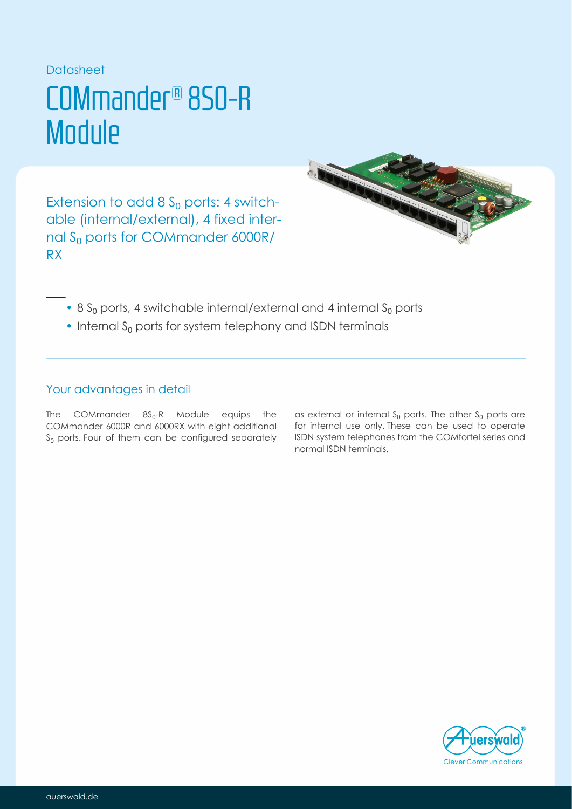### Datasheet

## COMmander® 8S0-R **Module**

Extension to add 8  $S_0$  ports: 4 switchable (internal/external), 4 fixed internal  $\rm S_{0}$  ports for COMmander 6000R/ RX



- $\bullet$  8 S<sub>0</sub> ports, 4 switchable internal/external and 4 internal S<sub>0</sub> ports
- $\cdot$  Internal S<sub>0</sub> ports for system telephony and ISDN terminals

## Your advantages in detail

The COMmander  $8S_0$ -R Module equips the COMmander 6000R and 6000RX with eight additional  $\bm{\mathsf{s}}_0$  ports. Four of them can be configured separately

as external or internal  $S_0$  ports. The other  $S_0$  ports are for internal use only. These can be used to operate ISDN system telephones from the COMfortel series and normal ISDN terminals.